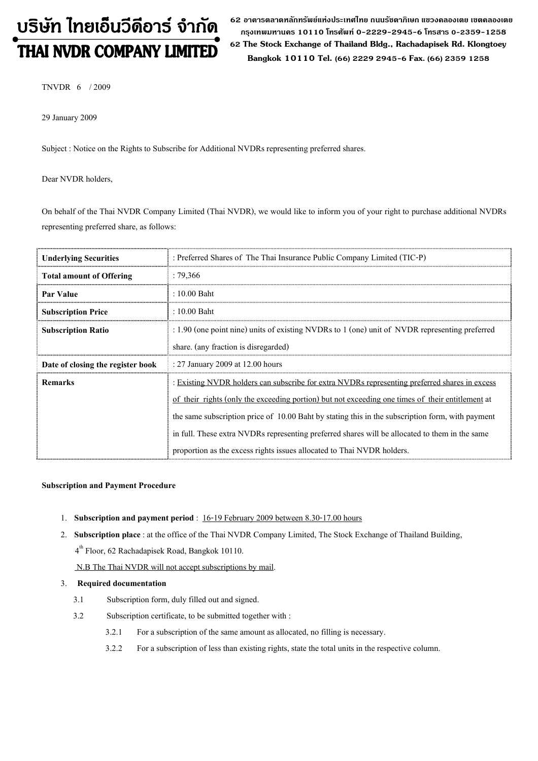# บริษัท ไทยเอ็นวีดีอาร์ จำกัด

62 อาดารตลาดหลักทรัพย์แห่งประเทศไทย ถนนรัซดาภิเษก แฃวงดลองเตย เฃตดลองเตย กรุงเทพมหานคร 10110 โทรศัพท์ 0-2229-2945-6 โทรสาร 0-2359-1258 **THAI NVDR COMPANY LIMITED** 62 The Stock Exchange of Thailand Bldg., Rachadapisek Rd. Klongtoey Bangkok 10110 Tel. (66) 2229 2945-6 Fax. (66) 2359 1258

TNVDR 6 / 2009

29 January 2009

Subject : Notice on the Rights to Subscribe for Additional NVDRs representing preferred shares.

Dear NVDR holders,

On behalf of the Thai NVDR Company Limited (Thai NVDR), we would like to inform you of your right to purchase additional NVDRs representing preferred share, as follows:

| <b>Underlying Securities</b>      | : Preferred Shares of The Thai Insurance Public Company Limited (TIC-P)                                   |  |  |
|-----------------------------------|-----------------------------------------------------------------------------------------------------------|--|--|
| <b>Total amount of Offering</b>   | : 79,366                                                                                                  |  |  |
| <b>Par Value</b>                  | $: 10.00$ Baht                                                                                            |  |  |
| <b>Subscription Price</b>         | : 10.00 Baht                                                                                              |  |  |
| <b>Subscription Ratio</b>         | $\therefore$ 1.90 (one point nine) units of existing NVDRs to 1 (one) unit of NVDR representing preferred |  |  |
|                                   | share. (any fraction is disregarded)                                                                      |  |  |
| Date of closing the register book | : 27 January 2009 at 12.00 hours                                                                          |  |  |
| <b>Remarks</b>                    | : Existing NVDR holders can subscribe for extra NVDRs representing preferred shares in excess             |  |  |
|                                   | of their rights (only the exceeding portion) but not exceeding one times of their entitlement at          |  |  |
|                                   | the same subscription price of 10.00 Baht by stating this in the subscription form, with payment          |  |  |
|                                   | in full. These extra NVDRs representing preferred shares will be allocated to them in the same            |  |  |
|                                   | proportion as the excess rights issues allocated to Thai NVDR holders.                                    |  |  |

#### Subscription and Payment Procedure

- 1. Subscription and payment period : 16-19 February 2009 between 8.30-17.00 hours
- 2. Subscription place : at the office of the Thai NVDR Company Limited, The Stock Exchange of Thailand Building, 4th Floor, 62 Rachadapisek Road, Bangkok 10110.

N.B The Thai NVDR will not accept subscriptions by mail.

#### 3. Required documentation

- 3.1 Subscription form, duly filled out and signed.
- 3.2 Subscription certificate, to be submitted together with :
	- 3.2.1 For a subscription of the same amount as allocated, no filling is necessary.
	- 3.2.2 For a subscription of less than existing rights, state the total units in the respective column.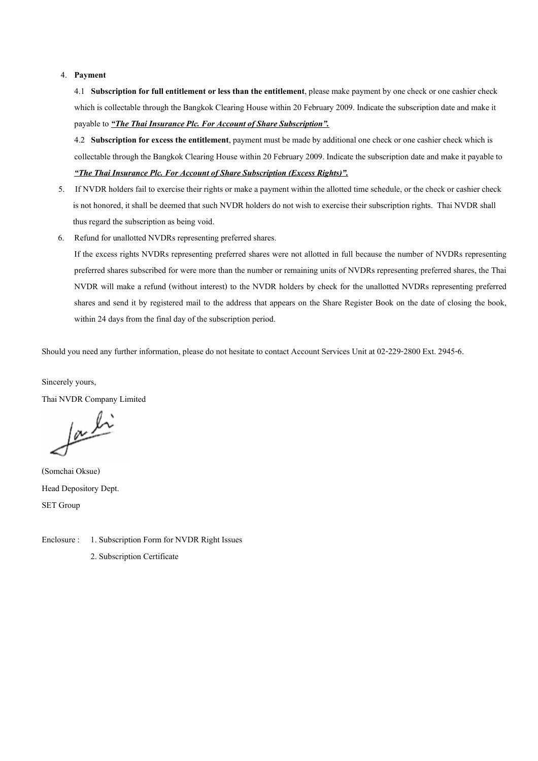#### 4. Payment

4.1 Subscription for full entitlement or less than the entitlement, please make payment by one check or one cashier check which is collectable through the Bangkok Clearing House within 20 February 2009. Indicate the subscription date and make it payable to "The Thai Insurance Plc. For Account of Share Subscription".

4.2 Subscription for excess the entitlement, payment must be made by additional one check or one cashier check which is collectable through the Bangkok Clearing House within 20 February 2009. Indicate the subscription date and make it payable to "The Thai Insurance Plc. For Account of Share Subscription (Excess Rights)".

- 5. If NVDR holders fail to exercise their rights or make a payment within the allotted time schedule, or the check or cashier check is not honored, it shall be deemed that such NVDR holders do not wish to exercise their subscription rights. Thai NVDR shall thus regard the subscription as being void.
- 6. Refund for unallotted NVDRs representing preferred shares.

If the excess rights NVDRs representing preferred shares were not allotted in full because the number of NVDRs representing preferred shares subscribed for were more than the number or remaining units of NVDRs representing preferred shares, the Thai NVDR will make a refund (without interest) to the NVDR holders by check for the unallotted NVDRs representing preferred shares and send it by registered mail to the address that appears on the Share Register Book on the date of closing the book, within 24 days from the final day of the subscription period.

Should you need any further information, please do not hesitate to contact Account Services Unit at 02-229-2800 Ext. 2945-6.

Sincerely yours, Thai NVDR Company Limited

facti

(Somchai Oksue) Head Depository Dept. SET Group

Enclosure : 1. Subscription Form for NVDR Right Issues 2. Subscription Certificate